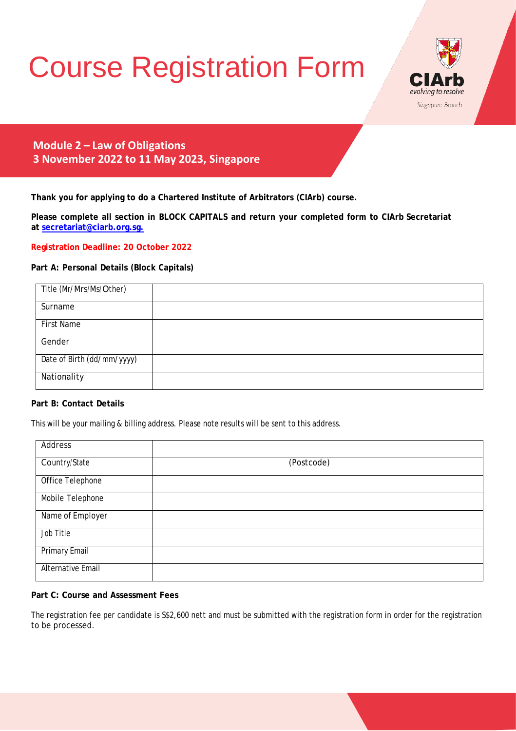# Course Registration Form



**Module 2 – Law of Obligations 3 November 2022 to 11 May 2023, Singapore**

**Thank you for applying to do a Chartered Institute of Arbitrators (CIArb) course.**

**Please complete all section in BLOCK CAPITALS and return your completed form to CIArb Secretariat at [secretariat@ciarb.org.sg.](mailto:secretariat@ciarb.org.sg)**

**Registration Deadline: 20 October 2022**

# **Part A: Personal Details (Block Capitals)**

| Title (Mr/Mrs/Ms/Other)    |  |
|----------------------------|--|
| Surname                    |  |
| <b>First Name</b>          |  |
| Gender                     |  |
| Date of Birth (dd/mm/yyyy) |  |
| Nationality                |  |

# **Part B: Contact Details**

This will be your mailing & billing address. Please note results will be sent to this address.

| Address                  |            |
|--------------------------|------------|
| Country/State            | (Postcode) |
| Office Telephone         |            |
| Mobile Telephone         |            |
| Name of Employer         |            |
| Job Title                |            |
| <b>Primary Email</b>     |            |
| <b>Alternative Email</b> |            |

### **Part C: Course and Assessment Fees**

The registration fee per candidate is S\$2,600 nett and must be submitted with the registration form in order for the registration to be processed.